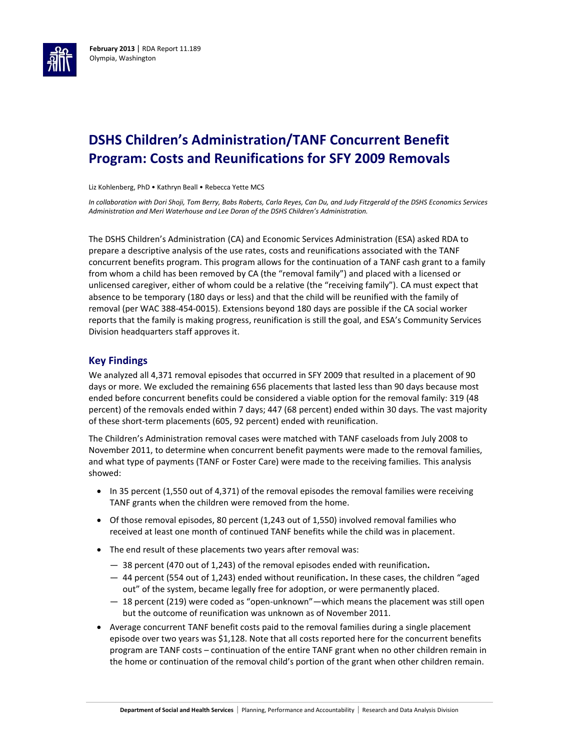

# **DSHS Children's Administration/TANF Concurrent Benefit Program: Costs and Reunifications for SFY 2009 Removals**

Liz Kohlenberg, PhD • Kathryn Beall • Rebecca Yette MCS

*In collaboration with Dori Shoji, Tom Berry, Babs Roberts, Carla Reyes, Can Du, and Judy Fitzgerald of the DSHS Economics Services Administration and Meri Waterhouse and Lee Doran of the DSHS Children's Administration.* 

The DSHS Children's Administration (CA) and Economic Services Administration (ESA) asked RDA to prepare a descriptive analysis of the use rates, costs and reunifications associated with the TANF concurrent benefits program. This program allows for the continuation of a TANF cash grant to a family from whom a child has been removed by CA (the "removal family") and placed with a licensed or unlicensed caregiver, either of whom could be a relative (the "receiving family"). CA must expect that absence to be temporary (180 days or less) and that the child will be reunified with the family of removal (per WAC 388-454-0015). Extensions beyond 180 days are possible if the CA social worker reports that the family is making progress, reunification is still the goal, and ESA's Community Services Division headquarters staff approves it.

#### **Key Findings**

We analyzed all 4,371 removal episodes that occurred in SFY 2009 that resulted in a placement of 90 days or more. We excluded the remaining 656 placements that lasted less than 90 days because most ended before concurrent benefits could be considered a viable option for the removal family: 319 (48 percent) of the removals ended within 7 days; 447 (68 percent) ended within 30 days. The vast majority of these short-term placements (605, 92 percent) ended with reunification.

The Children's Administration removal cases were matched with TANF caseloads from July 2008 to November 2011, to determine when concurrent benefit payments were made to the removal families, and what type of payments (TANF or Foster Care) were made to the receiving families. This analysis showed:

- $\bullet$  In 35 percent (1,550 out of 4,371) of the removal episodes the removal families were receiving TANF grants when the children were removed from the home.
- Of those removal episodes, 80 percent (1,243 out of 1,550) involved removal families who received at least one month of continued TANF benefits while the child was in placement.
- The end result of these placements two years after removal was:
	- 38 percent (470 out of 1,243) of the removal episodes ended with reunification**.**
	- 44 percent (554 out of 1,243) ended without reunification**.** In these cases, the children "aged out" of the system, became legally free for adoption, or were permanently placed.
	- 18 percent (219) were coded as "open-unknown"—which means the placement was still open but the outcome of reunification was unknown as of November 2011.
- Average concurrent TANF benefit costs paid to the removal families during a single placement episode over two years was \$1,128. Note that all costs reported here for the concurrent benefits program are TANF costs – continuation of the entire TANF grant when no other children remain in the home or continuation of the removal child's portion of the grant when other children remain.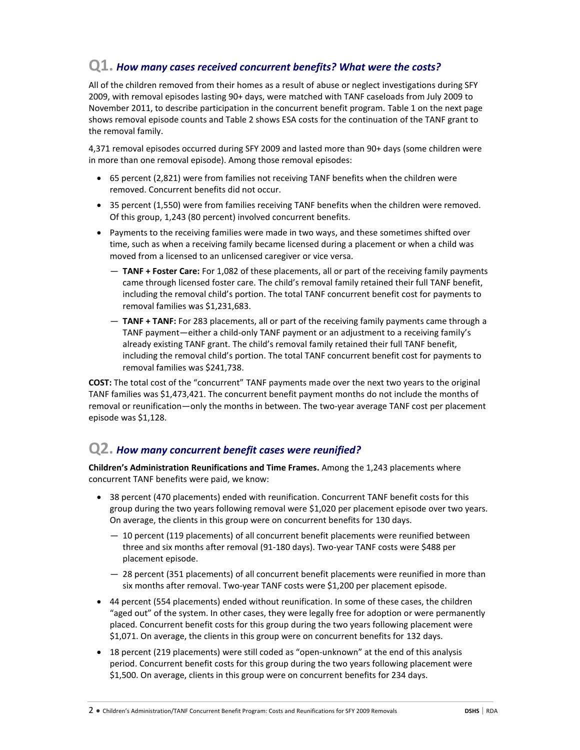#### **Q1.** *How many cases received concurrent benefits? What were the costs?*

All of the children removed from their homes as a result of abuse or neglect investigations during SFY 2009, with removal episodes lasting 90+ days, were matched with TANF caseloads from July 2009 to November 2011, to describe participation in the concurrent benefit program. Table 1 on the next page shows removal episode counts and Table 2 shows ESA costs for the continuation of the TANF grant to the removal family.

4,371 removal episodes occurred during SFY 2009 and lasted more than 90+ days (some children were in more than one removal episode). Among those removal episodes:

- 65 percent (2,821) were from families not receiving TANF benefits when the children were removed. Concurrent benefits did not occur.
- 35 percent (1,550) were from families receiving TANF benefits when the children were removed. Of this group, 1,243 (80 percent) involved concurrent benefits.
- Payments to the receiving families were made in two ways, and these sometimes shifted over time, such as when a receiving family became licensed during a placement or when a child was moved from a licensed to an unlicensed caregiver or vice versa.
	- **TANF + Foster Care:** For 1,082 of these placements, all or part of the receiving family payments came through licensed foster care. The child's removal family retained their full TANF benefit, including the removal child's portion. The total TANF concurrent benefit cost for payments to removal families was \$1,231,683.
	- **TANF + TANF:** For 283 placements, all or part of the receiving family payments came through a TANF payment—either a child-only TANF payment or an adjustment to a receiving family's already existing TANF grant. The child's removal family retained their full TANF benefit, including the removal child's portion. The total TANF concurrent benefit cost for payments to removal families was \$241,738.

**COST:** The total cost of the "concurrent" TANF payments made over the next two years to the original TANF families was \$1,473,421. The concurrent benefit payment months do not include the months of removal or reunification—only the months in between. The two-year average TANF cost per placement episode was \$1,128.

## **Q2.** *How many concurrent benefit cases were reunified?*

**Children's Administration Reunifications and Time Frames.** Among the 1,243 placements where concurrent TANF benefits were paid, we know:

- 38 percent (470 placements) ended with reunification. Concurrent TANF benefit costs for this group during the two years following removal were \$1,020 per placement episode over two years. On average, the clients in this group were on concurrent benefits for 130 days.
	- 10 percent (119 placements) of all concurrent benefit placements were reunified between three and six months after removal (91-180 days). Two-year TANF costs were \$488 per placement episode.
	- 28 percent (351 placements) of all concurrent benefit placements were reunified in more than six months after removal. Two-year TANF costs were \$1,200 per placement episode.
- 44 percent (554 placements) ended without reunification. In some of these cases, the children "aged out" of the system. In other cases, they were legally free for adoption or were permanently placed. Concurrent benefit costs for this group during the two years following placement were \$1,071. On average, the clients in this group were on concurrent benefits for 132 days.
- 18 percent (219 placements) were still coded as "open-unknown" at the end of this analysis period. Concurrent benefit costs for this group during the two years following placement were \$1,500. On average, clients in this group were on concurrent benefits for 234 days.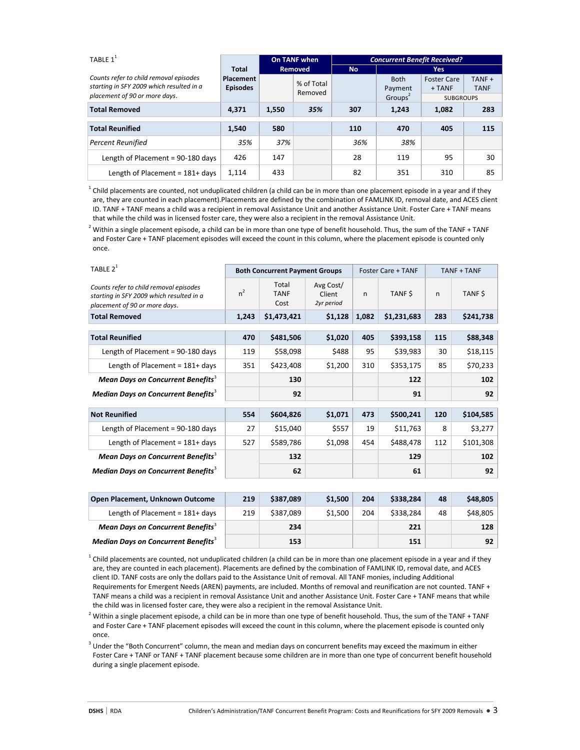| TABLE $1^1$                                                                        |                               | On TANF when<br><b>Removed</b> |                       | <b>Concurrent Benefit Received?</b> |                        |                                |                       |  |
|------------------------------------------------------------------------------------|-------------------------------|--------------------------------|-----------------------|-------------------------------------|------------------------|--------------------------------|-----------------------|--|
|                                                                                    | Total                         |                                |                       | <b>No</b>                           |                        | Yes:                           |                       |  |
| Counts refer to child removal episodes<br>starting in SFY 2009 which resulted in a | Placement<br><b>Episodes</b>  |                                | % of Total<br>Removed |                                     | <b>Both</b><br>Payment | <b>Foster Care</b><br>$+ TANF$ | TANF +<br><b>TANF</b> |  |
|                                                                                    | placement of 90 or more days. |                                |                       |                                     | Groups <sup>2</sup>    | <b>SUBGROUPS</b>               |                       |  |
| <b>Total Removed</b>                                                               | 4.371                         | 1,550                          | 35%                   | 307                                 | 1,243                  | 1,082                          | 283                   |  |
| <b>Total Reunified</b>                                                             | 1.540                         | 580                            |                       | 110                                 | 470                    | 405                            | 115                   |  |
| <b>Percent Reunified</b>                                                           | 35%                           | 37%                            |                       | 36%                                 | 38%                    |                                |                       |  |
| Length of Placement = 90-180 days                                                  | 426                           | 147                            |                       | 28                                  | 119                    | 95                             | 30                    |  |
| Length of Placement = $181+$ days                                                  | 1,114                         | 433                            |                       | 82                                  | 351                    | 310                            | 85                    |  |

 $^1$  Child placements are counted, not unduplicated children (a child can be in more than one placement episode in a year and if they are, they are counted in each placement).Placements are defined by the combination of FAMLINK ID, removal date, and ACES client ID. TANF + TANF means a child was a recipient in removal Assistance Unit and another Assistance Unit. Foster Care + TANF means that while the child was in licensed foster care, they were also a recipient in the removal Assistance Unit.

 $^2$  Within a single placement episode, a child can be in more than one type of benefit household. Thus, the sum of the TANF + TANF and Foster Care + TANF placement episodes will exceed the count in this column, where the placement episode is counted only once.

| TABLE $2^1$                                                                                                         | <b>Both Concurrent Payment Groups</b> |                              |                                   |       | Foster Care + TANF | TANF + TANF |           |
|---------------------------------------------------------------------------------------------------------------------|---------------------------------------|------------------------------|-----------------------------------|-------|--------------------|-------------|-----------|
| Counts refer to child removal episodes<br>starting in SFY 2009 which resulted in a<br>placement of 90 or more days. | $n^2$                                 | Total<br><b>TANF</b><br>Cost | Avg Cost/<br>Client<br>2yr period | n     | TANF \$            | n           | TANF \$   |
| <b>Total Removed</b>                                                                                                | 1,243                                 | \$1,473,421                  | \$1,128                           | 1,082 | \$1,231,683        | 283         | \$241,738 |
| <b>Total Reunified</b>                                                                                              | 470                                   | \$481,506                    | \$1,020                           | 405   | \$393,158          | 115         | \$88,348  |
| Length of Placement = 90-180 days                                                                                   | 119                                   | \$58,098                     | \$488                             | 95    | \$39,983           | 30          | \$18,115  |
| Length of Placement = $181+$ days                                                                                   | 351                                   | \$423,408                    | \$1,200                           | 310   | \$353,175          | 85          | \$70,233  |
| Mean Days on Concurrent Benefits <sup>3</sup>                                                                       |                                       | 130                          |                                   |       | 122                |             | 102       |
| <b>Median Days on Concurrent Benefits</b> <sup>3</sup>                                                              |                                       | 92                           |                                   |       | 91                 |             | 92        |
| <b>Not Reunified</b>                                                                                                | 554                                   | \$604,826                    | \$1,071                           | 473   | \$500,241          | 120         | \$104,585 |
| Length of Placement = 90-180 days                                                                                   | 27                                    | \$15,040                     | \$557                             | 19    | \$11,763           | 8           | \$3,277   |
| Length of Placement = $181+$ days                                                                                   | 527                                   | \$589,786                    | \$1,098                           | 454   | \$488,478          | 112         | \$101,308 |
| Mean Days on Concurrent Benefits <sup>3</sup>                                                                       |                                       | 132                          |                                   |       | 129                |             | 102       |
| <b>Median Days on Concurrent Benefits</b> <sup>3</sup>                                                              |                                       | 62                           |                                   |       | 61                 |             | 92        |

| Open Placement, Unknown Outcome                        | 219 | \$387.089 | \$1.500 | 204 | \$338.284 | 48 | \$48,805 |
|--------------------------------------------------------|-----|-----------|---------|-----|-----------|----|----------|
| Length of Placement = $181+$ days                      | 219 | \$387,089 | \$1,500 | 204 | \$338,284 | 48 | \$48,805 |
| Mean Days on Concurrent Benefits <sup>3</sup>          |     | 234       |         |     | 221       |    | 128      |
| <b>Median Days on Concurrent Benefits</b> <sup>3</sup> |     | 153       |         |     | 151       |    | 92       |

 $^1$  Child placements are counted, not unduplicated children (a child can be in more than one placement episode in a year and if they are, they are counted in each placement). Placements are defined by the combination of FAMLINK ID, removal date, and ACES client ID. TANF costs are only the dollars paid to the Assistance Unit of removal. All TANF monies, including Additional Requirements for Emergent Needs (AREN) payments, are included. Months of removal and reunification are not counted. TANF + TANF means a child was a recipient in removal Assistance Unit and another Assistance Unit. Foster Care + TANF means that while the child was in licensed foster care, they were also a recipient in the removal Assistance Unit.

<sup>2</sup> Within a single placement episode, a child can be in more than one type of benefit household. Thus, the sum of the TANF + TANF and Foster Care + TANF placement episodes will exceed the count in this column, where the placement episode is counted only once.

 $3$  Under the "Both Concurrent" column, the mean and median days on concurrent benefits may exceed the maximum in either Foster Care + TANF or TANF + TANF placement because some children are in more than one type of concurrent benefit household during a single placement episode.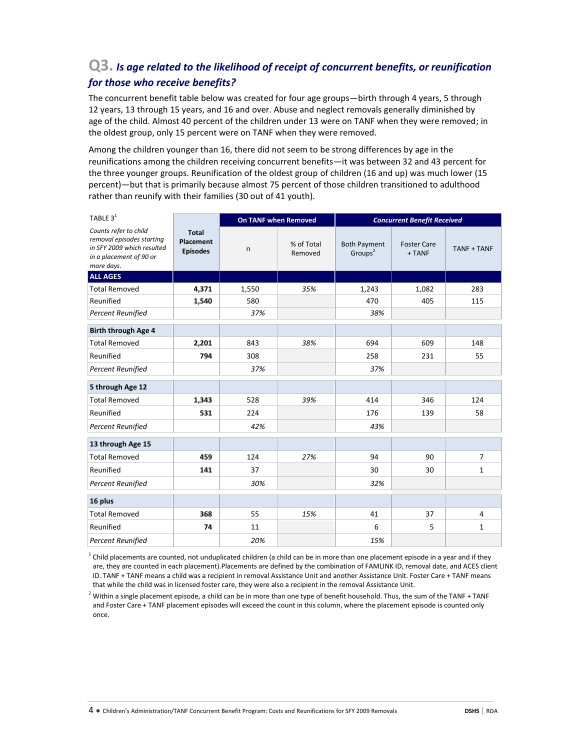#### **Q3.** *Is age related to the likelihood of receipt of concurrent benefits, or reunification for those who receive benefits?*

The concurrent benefit table below was created for four age groups—birth through 4 years, 5 through 12 years, 13 through 15 years, and 16 and over. Abuse and neglect removals generally diminished by age of the child. Almost 40 percent of the children under 13 were on TANF when they were removed; in the oldest group, only 15 percent were on TANF when they were removed.

Among the children younger than 16, there did not seem to be strong differences by age in the reunifications among the children receiving concurrent benefits—it was between 32 and 43 percent for the three younger groups. Reunification of the oldest group of children (16 and up) was much lower (15 percent)—but that is primarily because almost 75 percent of those children transitioned to adulthood rather than reunify with their families (30 out of 41 youth).

| TABLE $3^1$                                                                                                               |                                              | <b>On TANF when Removed</b> |                       | <b>Concurrent Benefit Received</b>         |                              |                    |  |
|---------------------------------------------------------------------------------------------------------------------------|----------------------------------------------|-----------------------------|-----------------------|--------------------------------------------|------------------------------|--------------------|--|
| Counts refer to child<br>removal episodes starting<br>in SFY 2009 which resulted<br>in a placement of 90 or<br>more days. | <b>Total</b><br>Placement<br><b>Episodes</b> |                             | % of Total<br>Removed | <b>Both Payment</b><br>Groups <sup>2</sup> | <b>Foster Care</b><br>+ TANF | <b>TANF + TANF</b> |  |
| <b>ALL AGES</b>                                                                                                           |                                              |                             |                       |                                            |                              |                    |  |
| <b>Total Removed</b>                                                                                                      | 4,371                                        | 1,550                       | 35%                   | 1,243                                      | 1,082                        | 283                |  |
| Reunified                                                                                                                 | 1,540                                        | 580                         |                       | 470                                        | 405                          | 115                |  |
| <b>Percent Reunified</b>                                                                                                  |                                              | 37%                         |                       | 38%                                        |                              |                    |  |
| Birth through Age 4                                                                                                       |                                              |                             |                       |                                            |                              |                    |  |
| <b>Total Removed</b>                                                                                                      | 2,201                                        | 843                         | 38%                   | 694                                        | 609                          | 148                |  |
| Reunified                                                                                                                 | 794                                          | 308                         |                       | 258                                        | 231                          | 55                 |  |
| <b>Percent Reunified</b>                                                                                                  |                                              | 37%                         |                       | 37%                                        |                              |                    |  |
| 5 through Age 12                                                                                                          |                                              |                             |                       |                                            |                              |                    |  |
| <b>Total Removed</b>                                                                                                      | 1,343                                        | 528                         | 39%                   | 414                                        | 346                          | 124                |  |
| Reunified                                                                                                                 | 531                                          | 224                         |                       | 176                                        | 139                          | 58                 |  |
| <b>Percent Reunified</b>                                                                                                  |                                              | 42%                         |                       | 43%                                        |                              |                    |  |
| 13 through Age 15                                                                                                         |                                              |                             |                       |                                            |                              |                    |  |
| <b>Total Removed</b>                                                                                                      | 459                                          | 124                         | 27%                   | 94                                         | 90                           | $\overline{7}$     |  |
| Reunified                                                                                                                 | 141                                          | 37                          |                       | 30                                         | 30                           | $\mathbf{1}$       |  |
| <b>Percent Reunified</b>                                                                                                  |                                              | 30%                         |                       | 32%                                        |                              |                    |  |
| 16 plus                                                                                                                   |                                              |                             |                       |                                            |                              |                    |  |
| <b>Total Removed</b>                                                                                                      | 368                                          | 55                          | 15%                   | 41                                         | 37                           | 4                  |  |
| Reunified                                                                                                                 | 74                                           | 11                          |                       | 6                                          | 5                            | $\mathbf{1}$       |  |
| <b>Percent Reunified</b>                                                                                                  |                                              | 20%                         |                       | 15%                                        |                              |                    |  |

 $^1$  Child placements are counted, not unduplicated children (a child can be in more than one placement episode in a year and if they are, they are counted in each placement).Placements are defined by the combination of FAMLINK ID, removal date, and ACES client ID. TANF + TANF means a child was a recipient in removal Assistance Unit and another Assistance Unit. Foster Care + TANF means that while the child was in licensed foster care, they were also a recipient in the removal Assistance Unit.

 $^2$  Within a single placement episode, a child can be in more than one type of benefit household. Thus, the sum of the TANF + TANF and Foster Care + TANF placement episodes will exceed the count in this column, where the placement episode is counted only once.